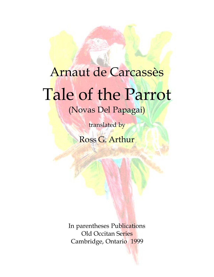## Arnaut de Carcassès Tale of the Parrot

(Novas Del Papagai)

translated by

Ross G. Arthur

In parentheses Publications Old Occitan Series Cambridge, Ontario 1999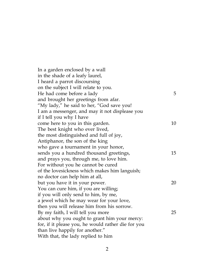| In a garden enclosed by a wall                     |    |
|----------------------------------------------------|----|
| in the shade of a leafy laurel,                    |    |
| I heard a parrot discoursing                       |    |
| on the subject I will relate to you.               |    |
| He had come before a lady                          | 5  |
| and brought her greetings from afar.               |    |
| "My lady," he said to her, "God save you!          |    |
| I am a messenger, and may it not displease you     |    |
| if I tell you why I have                           |    |
| come here to you in this garden.                   | 10 |
| The best knight who ever lived,                    |    |
| the most distinguished and full of joy,            |    |
| Antiphanor, the son of the king                    |    |
| who gave a tournament in your honor,               |    |
| sends you a hundred thousand greetings,            | 15 |
| and prays you, through me, to love him.            |    |
| For without you he cannot be cured                 |    |
| of the lovesickness which makes him languish;      |    |
| no doctor can help him at all,                     |    |
| but you have it in your power.                     | 20 |
| You can cure him, if you are willing;              |    |
| if you will only send to him, by me,               |    |
| a jewel which he may wear for your love,           |    |
| then you will release him from his sorrow.         |    |
| By my faith, I will tell you more                  | 25 |
| about why you ought to grant him your mercy:       |    |
| for, if it please you, he would rather die for you |    |
| than live happily for another."                    |    |
| With that, the lady replied to him                 |    |
|                                                    |    |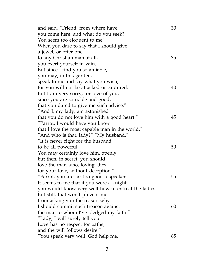| and said, "Friend, from where have                  | 30 |
|-----------------------------------------------------|----|
| you come here, and what do you seek?                |    |
| You seem too eloquent to me!                        |    |
| When you dare to say that I should give             |    |
| a jewel, or offer one                               |    |
| to any Christian man at all,                        | 35 |
| you exert yourself in vain.                         |    |
| But since I find you so amiable,                    |    |
| you may, in this garden,                            |    |
| speak to me and say what you wish,                  |    |
| for you will not be attacked or captured.           | 40 |
| But I am very sorry, for love of you,               |    |
| since you are so noble and good,                    |    |
| that you dared to give me such advice."             |    |
| "And I, my lady, am astonished                      |    |
| that you do not love him with a good heart."        | 45 |
| "Parrot, I would have you know                      |    |
| that I love the most capable man in the world."     |    |
| "And who is that, lady?" "My husband."              |    |
| "It is never right for the husband                  |    |
| to be all powerful:                                 | 50 |
| You may certainly love him, openly,                 |    |
| but then, in secret, you should                     |    |
| love the man who, loving, dies                      |    |
| for your love, without deception."                  |    |
| "Parrot, you are far too good a speaker.            | 55 |
| It seems to me that if you were a knight            |    |
| you would know very well how to entreat the ladies. |    |
| But still, that won't prevent me                    |    |
| from asking you the reason why                      |    |
| I should commit such treason against                | 60 |
| the man to whom I've pledged my faith."             |    |
| "Lady, I will surely tell you:                      |    |
| Love has no respect for oaths,                      |    |
| and the will follows desire."                       |    |
| "You speak very well, God help me,                  | 65 |
|                                                     |    |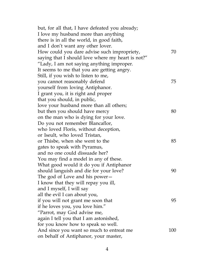| but, for all that, I have defeated you already;   |     |
|---------------------------------------------------|-----|
| I love my husband more than anything              |     |
| there is in all the world, in good faith,         |     |
| and I don't want any other lover.                 |     |
| How could you dare advise such impropriety,       | 70  |
| saying that I should love where my heart is not?" |     |
| "Lady, I am not saying anything improper.         |     |
| It seems to me that you are getting angry.        |     |
| Still, if you wish to listen to me,               |     |
| you cannot reasonably defend                      | 75  |
| yourself from loving Antiphanor.                  |     |
| I grant you, it is right and proper               |     |
| that you should, in public,                       |     |
| love your husband more than all others;           |     |
| but then you should have mercy                    | 80  |
| on the man who is dying for your love.            |     |
| Do you not remember Blancaflor,                   |     |
| who loved Floris, without deception,              |     |
| or Iseult, who loved Tristan,                     |     |
| or Thisbe, when she went to the                   | 85  |
| gates to speak with Pyramus,                      |     |
| and no one could dissuade her?                    |     |
| You may find a model in any of these.             |     |
| What good would it do you if Antiphanor           |     |
| should languish and die for your love?            | 90  |
| The god of Love and his power -                   |     |
| I know that they will repay you ill,              |     |
| and I myself, I will say                          |     |
| all the evil I can about you,                     |     |
| if you will not grant me soon that                | 95  |
| if he loves you, you love him."                   |     |
| "Parrot, may God advise me,                       |     |
| again I tell you that I am astonished,            |     |
| for you know how to speak so well.                |     |
| And since you want so much to entreat me          | 100 |
| on behalf of Antiphanor, your master,             |     |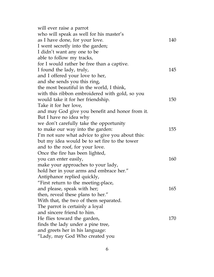| will ever raise a parrot                         |     |
|--------------------------------------------------|-----|
| who will speak as well for his master's          |     |
| as I have done, for your love.                   | 140 |
| I went secretly into the garden;                 |     |
| I didn't want any one to be                      |     |
| able to follow my tracks,                        |     |
| for I would rather be free than a captive.       |     |
| I found the lady, truly,                         | 145 |
| and I offered your love to her,                  |     |
| and she sends you this ring,                     |     |
| the most beautiful in the world, I think,        |     |
| with this ribbon embroidered with gold, so you   |     |
| would take it for her friendship.                | 150 |
| Take it for her love,                            |     |
| and may God give you benefit and honor from it.  |     |
| But I have no idea why                           |     |
| we don't carefully take the opportunity          |     |
| to make our way into the garden:                 | 155 |
| I'm not sure what advice to give you about this: |     |
| but my idea would be to set fire to the tower    |     |
| and to the roof, for your love.                  |     |
| Once the fire has been lighted,                  |     |
| you can enter easily,                            | 160 |
| make your approaches to your lady,               |     |
| hold her in your arms and embrace her."          |     |
| Antiphanor replied quickly,                      |     |
| "First return to the meeting-place,              |     |
| and please, speak with her;                      | 165 |
| then, reveal these plans to her."                |     |
| With that, the two of them separated.            |     |
| The parrot is certainly a loyal                  |     |
| and sincere friend to him.                       |     |
| He flies toward the garden,                      | 170 |
| finds the lady under a pine tree,                |     |
| and greets her in his language:                  |     |
| "Lady, may God Who created you                   |     |
|                                                  |     |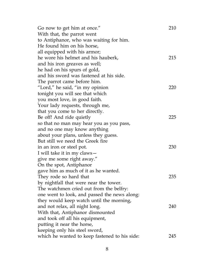| Go now to get him at once."                   | 210 |
|-----------------------------------------------|-----|
| With that, the parrot went                    |     |
| to Antiphanor, who was waiting for him.       |     |
| He found him on his horse,                    |     |
| all equipped with his armor;                  |     |
| he wore his helmet and his hauberk,           | 215 |
| and his iron greaves as well;                 |     |
| he had on his spurs of gold,                  |     |
| and his sword was fastened at his side.       |     |
| The parrot came before him.                   |     |
| "Lord," he said, "in my opinion"              | 220 |
| tonight you will see that which               |     |
| you most love, in good faith.                 |     |
| Your lady requests, through me,               |     |
| that you come to her directly.                |     |
| Be off! And ride quietly                      | 225 |
| so that no man may hear you as you pass,      |     |
| and no one may know anything                  |     |
| about your plans, unless they guess.          |     |
| But still we need the Greek fire              |     |
| in an iron or steel pot.                      | 230 |
| I will take it in my claws -                  |     |
| give me some right away."                     |     |
| On the spot, Antiphanor                       |     |
| gave him as much of it as he wanted.          |     |
| They rode so hard that                        | 235 |
| by nightfall that were near the tower.        |     |
| The watchmen cried out from the belfry:       |     |
| one went to look, and passed the news along:  |     |
| they would keep watch until the morning,      |     |
| and not relax, all night long.                | 240 |
| With that, Antiphanor dismounted              |     |
| and took off all his equipment,               |     |
| putting it near the horse,                    |     |
| keeping only his steel sword,                 |     |
| which he wanted to keep fastened to his side: | 245 |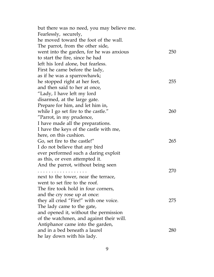| but there was no need, you may believe me. |     |
|--------------------------------------------|-----|
| Fearlessly, securely,                      |     |
| he moved toward the foot of the wall.      |     |
| The parrot, from the other side,           |     |
| went into the garden, for he was anxious   | 250 |
| to start the fire, since he had            |     |
| left his lord alone, but fearless.         |     |
| First he came before the lady,             |     |
| as if he was a sparrowhawk;                |     |
| he stopped right at her feet,              | 255 |
| and then said to her at once,              |     |
| "Lady, I have left my lord                 |     |
| disarmed, at the large gate.               |     |
| Prepare for him, and let him in,           |     |
| while I go set fire to the castle."        | 260 |
| "Parrot, in my prudence,                   |     |
| I have made all the preparations.          |     |
| I have the keys of the castle with me,     |     |
| here, on this cushion.                     |     |
| Go, set fire to the castle!"               | 265 |
| I do not believe that any bird             |     |
| ever performed such a daring exploit       |     |
| as this, or even attempted it.             |     |
| And the parrot, without being seen         |     |
| .                                          | 270 |
| next to the tower, near the terrace,       |     |
| went to set fire to the roof.              |     |
| The fire took hold in four corners,        |     |
| and the cry rose up at once:               |     |
| they all cried "Fire!" with one voice.     | 275 |
| The lady came to the gate,                 |     |
| and opened it, without the permission      |     |
| of the watchmen, and against their will.   |     |
| Antiphanor came into the garden,           |     |
| and in a bed beneath a laurel              | 280 |
| he lay down with his lady.                 |     |